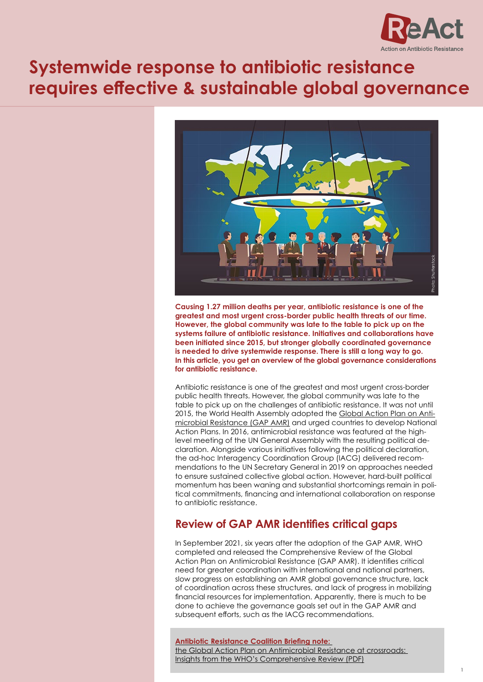

# **Systemwide response to antibiotic resistance requires effective & sustainable global governance**



**Causing 1.27 million deaths per year, antibiotic resistance is one of the greatest and most urgent cross-border public health threats of our time. However, the global community was late to the table to pick up on the systems failure of antibiotic resistance. Initiatives and collaborations have been initiated since 2015, but stronger globally coordinated governance is needed to drive systemwide response. There is still a long way to go. In this article, you get an overview of the global governance considerations for antibiotic resistance.**

Antibiotic resistance is one of the greatest and most urgent cross-border public health threats. However, the global community was late to the table to pick up on the challenges of antibiotic resistance. It was not until 2015, the World Health Assembly adopted the [Global Action Plan on Anti](https://www.who.int/publications/i/item/9789241509763)[microbial Resistance \(GAP AMR\)](https://www.who.int/publications/i/item/9789241509763) and urged countries to develop National Action Plans. In 2016, antimicrobial resistance was featured at the highlevel meeting of the UN General Assembly with the resulting political declaration. Alongside various initiatives following the political declaration, the ad-hoc Interagency Coordination Group (IACG) delivered recommendations to the UN Secretary General in 2019 on approaches needed to ensure sustained collective global action. However, hard-built political momentum has been waning and substantial shortcomings remain in political commitments, financing and international collaboration on response to antibiotic resistance.

# **Review of GAP AMR identifies critical gaps**

In September 2021, six years after the adoption of the GAP AMR, WHO completed and released the Comprehensive Review of the Global Action Plan on Antimicrobial Resistance (GAP AMR). It identifies critical need for greater coordination with international and national partners, slow progress on establishing an AMR global governance structure, lack of coordination across these structures, and lack of progress in mobilizing financial resources for implementation. Apparently, there is much to be done to achieve the governance goals set out in the GAP AMR and subsequent efforts, such as the IACG recommendations.

**[Antibiotic Resistance Coalition Briefing note:](https://static1.squarespace.com/static/5c3784843c3a534eadd60de4/t/61eb2df3123b92192d29bcb5/1642802678129/FINAL-Comprehensive-Review-Briefing-19Jan2022.pdf)**  [the Global Action Plan on Antimicrobial Resistance at crossroads:](https://static1.squarespace.com/static/5c3784843c3a534eadd60de4/t/61eb2df3123b92192d29bcb5/1642802678129/FINAL-Comprehensive-Review-Briefing-19Jan2022.pdf)  [Insights from the WHO's Comprehensive Review \(PDF\)](https://static1.squarespace.com/static/5c3784843c3a534eadd60de4/t/61eb2df3123b92192d29bcb5/1642802678129/FINAL-Comprehensive-Review-Briefing-19Jan2022.pdf)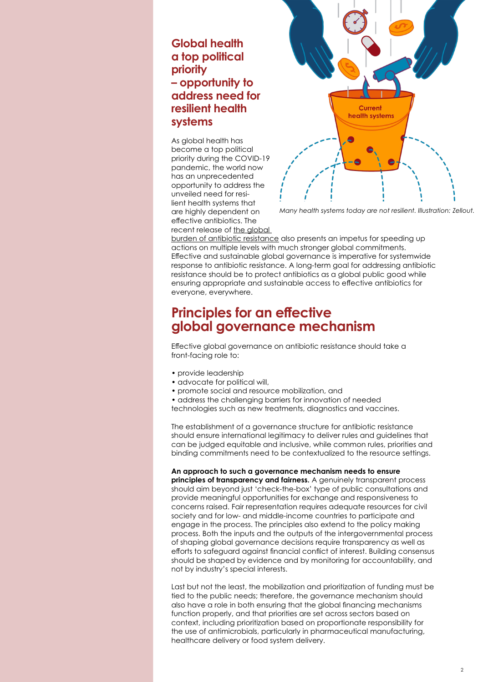### **Global health a top political priority – opportunity to address need for resilient health systems**

As global health has become a top political priority during the COVID-19 pandemic, the world now has an unprecedented opportunity to address the unveiled need for resilient health systems that are highly dependent on effective antibiotics. The recent release of [the global](https://www.thelancet.com/journals/lancet/article/PIIS0140-6736(21)02724-0/fulltext) 



*Many health systems today are not resilient. Illustration: Zellout.*

[burden of antibiotic resistance](https://www.thelancet.com/journals/lancet/article/PIIS0140-6736(21)02724-0/fulltext) also presents an impetus for speeding up actions on multiple levels with much stronger global commitments. Effective and sustainable global governance is imperative for systemwide response to antibiotic resistance. A long-term goal for addressing antibiotic resistance should be to protect antibiotics as a global public good while ensuring appropriate and sustainable access to effective antibiotics for everyone, everywhere.

# **Principles for an effective global governance mechanism**

Effective global governance on antibiotic resistance should take a front-facing role to:

- provide leadership
- advocate for political will,
- promote social and resource mobilization, and
- address the challenging barriers for innovation of needed
- technologies such as new treatments, diagnostics and vaccines.

The establishment of a governance structure for antibiotic resistance should ensure international legitimacy to deliver rules and guidelines that can be judged equitable and inclusive, while common rules, priorities and binding commitments need to be contextualized to the resource settings.

#### **An approach to such a governance mechanism needs to ensure**

**principles of transparency and fairness.** A genuinely transparent process should aim beyond just 'check-the-box' type of public consultations and provide meaningful opportunities for exchange and responsiveness to concerns raised. Fair representation requires adequate resources for civil society and for low- and middle-income countries to participate and engage in the process. The principles also extend to the policy making process. Both the inputs and the outputs of the intergovernmental process of shaping global governance decisions require transparency as well as efforts to safeguard against financial conflict of interest. Building consensus should be shaped by evidence and by monitoring for accountability, and not by industry's special interests.

Last but not the least, the mobilization and prioritization of funding must be tied to the public needs; therefore, the governance mechanism should also have a role in both ensuring that the global financing mechanisms function properly, and that priorities are set across sectors based on context, including prioritization based on proportionate responsibility for the use of antimicrobials, particularly in pharmaceutical manufacturing, healthcare delivery or food system delivery.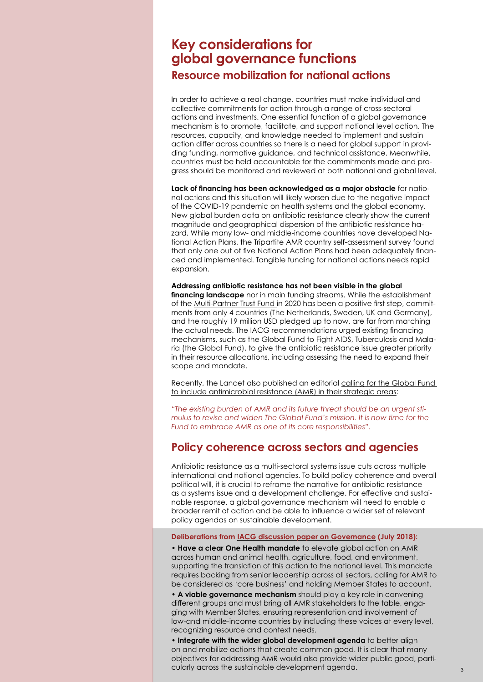# **Key considerations for global governance functions Resource mobilization for national actions**

In order to achieve a real change, countries must make individual and collective commitments for action through a range of cross-sectoral actions and investments. One essential function of a global governance mechanism is to promote, facilitate, and support national level action. The resources, capacity, and knowledge needed to implement and sustain action differ across countries so there is a need for global support in providing funding, normative guidance, and technical assistance. Meanwhile, countries must be held accountable for the commitments made and progress should be monitored and reviewed at both national and global level.

**Lack of financing has been acknowledged as a major obstacle** for national actions and this situation will likely worsen due to the negative impact of the COVID-19 pandemic on health systems and the global economy. New global burden data on antibiotic resistance clearly show the current magnitude and geographical dispersion of the antibiotic resistance hazard. While many low- and middle-income countries have developed National Action Plans, the Tripartite AMR country self-assessment survey found that only one out of five National Action Plans had been adequately financed and implemented. Tangible funding for national actions needs rapid expansion.

**Addressing antibiotic resistance has not been visible in the global financing landscape** nor in main funding streams. While the establishment of the [Multi-Partner Trust Fund](https://mptf.undp.org/factsheet/fund/AMR00) in 2020 has been a positive first step, commitments from only 4 countries (The Netherlands, Sweden, UK and Germany), and the roughly 19 million USD pledged up to now, are far from matching the actual needs. The IACG recommendations urged existing financing mechanisms, such as the Global Fund to Fight AIDS, Tuberculosis and Malaria (the Global Fund), to give the antibiotic resistance issue greater priority in their resource allocations, including assessing the need to expand their scope and mandate.

Recently, the Lancet also published an editorial calling for the Global Fund [to include antimicrobial resistance \(AMR\) in their strategic areas:](https://www.thelancet.com/journals/lancet/article/PIIS0140-6736(22)00091-5/fulltext)

*"The existing burden of AMR and its future threat should be an urgent stimulus to revise and widen The Global Fund's mission. It is now time for the Fund to embrace AMR as one of its core responsibilities".*

### **Policy coherence across sectors and agencies**

Antibiotic resistance as a multi-sectoral systems issue cuts across multiple international and national agencies. To build policy coherence and overall political will, it is crucial to reframe the narrative for antibiotic resistance as a systems issue and a development challenge. For effective and sustainable response, a global governance mechanism will need to enable a broader remit of action and be able to influence a wider set of relevant policy agendas on sustainable development.

**Deliberations from [IACG discussion paper on Governance](https://www.who.int/antimicrobial-resistance/interagency-coordination-group/IACG_Future_global_governance_for_AMR_120718.pdf) (July 2018):**

• **Have a clear One Health mandate** to elevate global action on AMR across human and animal health, agriculture, food, and environment, supporting the translation of this action to the national level. This mandate requires backing from senior leadership across all sectors, calling for AMR to be considered as 'core business' and holding Member States to account.

**• A viable governance mechanism** should play a key role in convening different groups and must bring all AMR stakeholders to the table, engaging with Member States, ensuring representation and involvement of low-and middle-income countries by including these voices at every level, recognizing resource and context needs.

**• Integrate with the wider global development agenda** to better align on and mobilize actions that create common good. It is clear that many objectives for addressing AMR would also provide wider public good, particularly across the sustainable development agenda. 33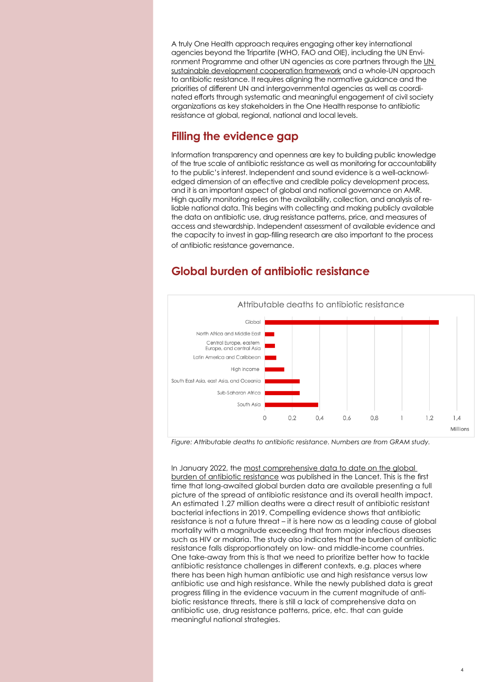A truly One Health approach requires engaging other key international agencies beyond the Tripartite (WHO, FAO and OIE), including the UN Environment Programme and other UN agencies as core partners through the [UN](https://www.who.int/publications/i/item/9789240036024)  [sustainable development cooperation framework](https://www.who.int/publications/i/item/9789240036024) and a whole-UN approach to antibiotic resistance. It requires aligning the normative guidance and the priorities of different UN and intergovernmental agencies as well as coordinated efforts through systematic and meaningful engagement of civil society organizations as key stakeholders in the One Health response to antibiotic resistance at global, regional, national and local levels.

### **Filling the evidence gap**

Information transparency and openness are key to building public knowledge of the true scale of antibiotic resistance as well as monitoring for accountability to the public's interest. Independent and sound evidence is a well-acknowledged dimension of an effective and credible policy development process, and it is an important aspect of global and national governance on AMR. High quality monitoring relies on the availability, collection, and analysis of reliable national data. This begins with collecting and making publicly available the data on antibiotic use, drug resistance patterns, price, and measures of access and stewardship. Independent assessment of available evidence and the capacity to invest in gap-filling research are also important to the process of antibiotic resistance governance.

#### Attributable deaths to antibiotic resistance Global North Africa and Middle East Central Europe, eastern Europe, and central Asia Latin America and Caribbean High income South East Asia, east Asia, and Oceania Sub-Saharan Africa South Asia  $\Omega$  $02$  $0\Delta$  $0.6$  $0.8$  $1.2$  $1.4$ Millions

# **Global burden of antibiotic resistance**

*Figure: Attributable deaths to antibiotic resistance. Numbers are from GRAM study.*

In January 2022, the [most comprehensive data to date on the global](https://www.thelancet.com/journals/lancet/article/PIIS0140-6736(21)02724-0/fulltext)  [burden of antibiotic resistance](https://www.thelancet.com/journals/lancet/article/PIIS0140-6736(21)02724-0/fulltext) was published in the Lancet. This is the first time that long-awaited global burden data are available presenting a full picture of the spread of antibiotic resistance and its overall health impact. An estimated 1.27 million deaths were a direct result of antibiotic resistant bacterial infections in 2019. Compelling evidence shows that antibiotic resistance is not a future threat – it is here now as a leading cause of global mortality with a magnitude exceeding that from major infectious diseases such as HIV or malaria. The study also indicates that the burden of antibiotic resistance falls disproportionately on low- and middle-income countries. One take-away from this is that we need to prioritize better how to tackle antibiotic resistance challenges in different contexts, e.g. places where there has been high human antibiotic use and high resistance versus low antibiotic use and high resistance. While the newly published data is great progress filling in the evidence vacuum in the current magnitude of antibiotic resistance threats, there is still a lack of comprehensive data on antibiotic use, drug resistance patterns, price, etc. that can guide meaningful national strategies.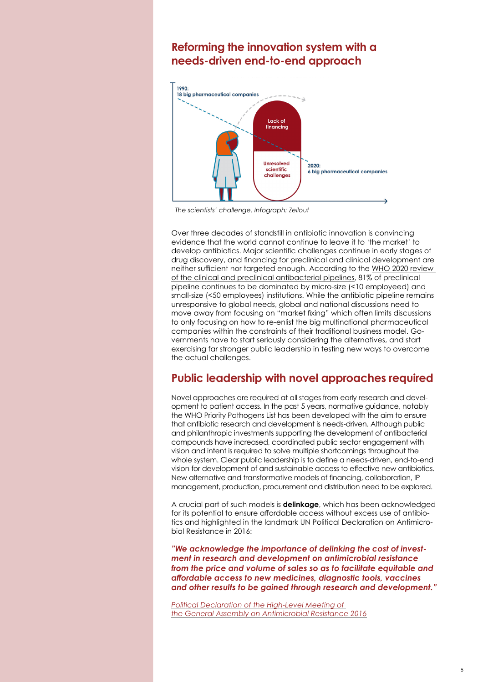#### **Reforming the innovation system with a needs-driven end-to-end approach**



*The scientists' challenge. Infograph: Zellout*

Over three decades of standstill in antibiotic innovation is convincing evidence that the world cannot continue to leave it to 'the market' to develop antibiotics. Major scientific challenges continue in early stages of drug discovery, and financing for preclinical and clinical development are neither sufficient nor targeted enough. According to the [WHO 2020 review](https://www.who.int/publications/i/item/9789240021303)  [of the clinical and preclinical antibacterial pipelines,](https://www.who.int/publications/i/item/9789240021303) 81% of preclinical pipeline continues to be dominated by micro-size (<10 employeed) and small-size (<50 employees) institutions. While the antibiotic pipeline remains unresponsive to global needs, global and national discussions need to move away from focusing on "market fixing" which often limits discussions to only focusing on how to re-enlist the big multinational pharmaceutical companies within the constraints of their traditional business model. Governments have to start seriously considering the alternatives, and start exercising far stronger public leadership in testing new ways to overcome the actual challenges.

# **Public leadership with novel approaches required**

Novel approaches are required at all stages from early research and development to patient access. In the past 5 years, normative guidance, notably the [WHO Priority Pathogens List](https://www.who.int/news/item/27-02-2017-who-publishes-list-of-bacteria-for-which-new-antibiotics-are-urgently-needed) has been developed with the aim to ensure that antibiotic research and development is needs-driven. Although public and philanthropic investments supporting the development of antibacterial compounds have increased, coordinated public sector engagement with vision and intent is required to solve multiple shortcomings throughout the whole system. Clear public leadership is to define a needs-driven, end-to-end vision for development of and sustainable access to effective new antibiotics. New alternative and transformative models of financing, collaboration, IP management, production, procurement and distribution need to be explored.

A crucial part of such models is **delinkage**, which has been acknowledged for its potential to ensure affordable access without excess use of antibiotics and highlighted in the landmark UN Political Declaration on Antimicrobial Resistance in 2016:

*"We acknowledge the importance of delinking the cost of investment in research and development on antimicrobial resistance from the price and volume of sales so as to facilitate equitable and affordable access to new medicines, diagnostic tools, vaccines and other results to be gained through research and development."*

*[Political Declaration of the High-Level Meeting of](https://digitallibrary.un.org/record/842813)  [the General Assembly on Antimicrobial Resistance 2016](https://digitallibrary.un.org/record/842813)*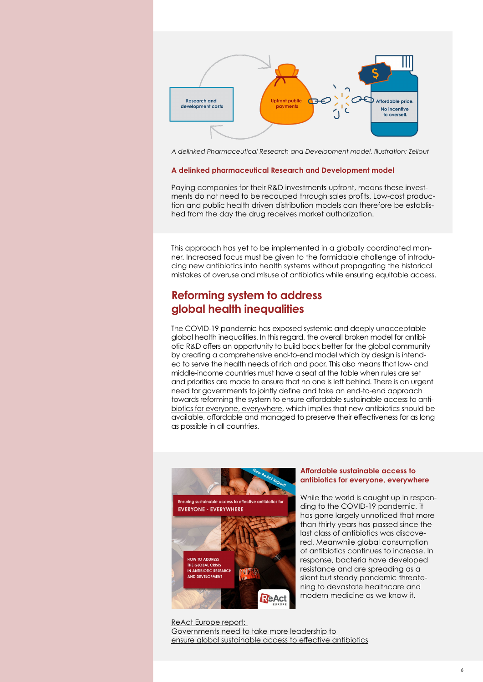

*A delinked Pharmaceutical Research and Development model. Illustration: Zellout*

#### **A delinked pharmaceutical Research and Development model**

Paying companies for their R&D investments upfront, means these investments do not need to be recouped through sales profits. Low-cost production and public health driven distribution models can therefore be established from the day the drug receives market authorization.

This approach has yet to be implemented in a globally coordinated manner. Increased focus must be given to the formidable challenge of introducing new antibiotics into health systems without propagating the historical mistakes of overuse and misuse of antibiotics while ensuring equitable access.

#### **Reforming system to address global health inequalities**

The COVID-19 pandemic has exposed systemic and deeply unacceptable global health inequalities. In this regard, the overall broken model for antibiotic R&D offers an opportunity to build back better for the global community by creating a comprehensive end-to-end model which by design is intended to serve the health needs of rich and poor. This also means that low- and middle-income countries must have a seat at the table when rules are set and priorities are made to ensure that no one is left behind. There is an urgent need for governments to jointly define and take an end-to-end approach towards reforming the system [to ensure affordable sustainable access to anti](https://www.reactgroup.org/news-and-views/news-and-opinions/year-2021/new-react-report-governments-need-to-take-more-leadership-to-ensure-global-sustainable-access-to-effective-antibiotics/)[biotics for everyone, everywhere,](https://www.reactgroup.org/news-and-views/news-and-opinions/year-2021/new-react-report-governments-need-to-take-more-leadership-to-ensure-global-sustainable-access-to-effective-antibiotics/) which implies that new antibiotics should be available, affordable and managed to preserve their effectiveness for as long as possible in all countries.



#### **Affordable sustainable access to antibiotics for everyone, everywhere**

While the world is caught up in responding to the COVID-19 pandemic, it has gone largely unnoticed that more than thirty years has passed since the last class of antibiotics was discovered. Meanwhile global consumption of antibiotics continues to increase. In response, bacteria have developed resistance and are spreading as a silent but steady pandemic threatening to devastate healthcare and modern medicine as we know it.

[ReAct Europe report:](https://www.reactgroup.org/news-and-views/news-and-opinions/year-2021/new-react-report-governments-need-to-take-more-leadership-to-ensure-global-sustainable-access-to-effective-antibiotics/)  [Governments need to take more leadership to](https://www.reactgroup.org/news-and-views/news-and-opinions/year-2021/new-react-report-governments-need-to-take-more-leadership-to-ensure-global-sustainable-access-to-effective-antibiotics/)  [ensure global sustainable access to effective antibiotics](https://www.reactgroup.org/news-and-views/news-and-opinions/year-2021/new-react-report-governments-need-to-take-more-leadership-to-ensure-global-sustainable-access-to-effective-antibiotics/)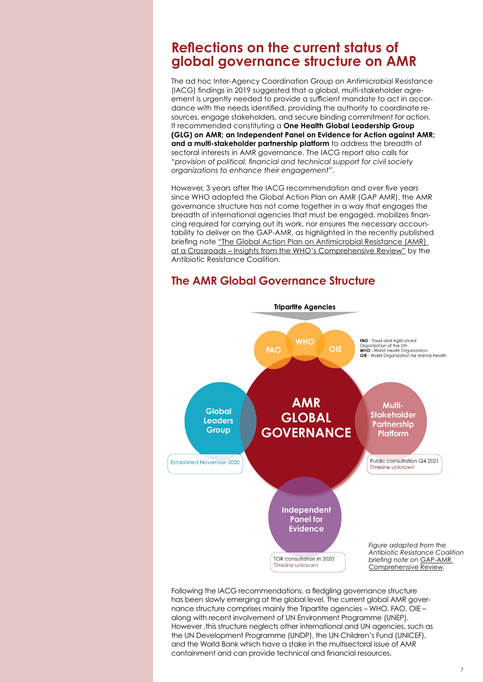# **Reflections on the current status of global governance structure on AMR**

The ad hoc Inter-Agency Coordination Group on Antimicrobial Resistance (IACG) findings in 2019 suggested that a global, multi-stakeholder agreement is urgently needed to provide a sufficient mandate to act in accordance with the needs identified, providing the authority to coordinate resources, engage stakeholders, and secure binding commitment for action. It recommended constituting a **One Health Global Leadership Group (GLG) on AMR; an Independent Panel on Evidence for Action against AMR; and a multi-stakeholder partnership platform** to address the breadth of sectoral interests in AMR governance. The IACG report also calls for *"provision of political, financial and technical support for civil society organizations to enhance their engagement"*.

However, 3 years after the IACG recommendation and over five years since WHO adopted the Global Action Plan on AMR (GAP AMR), the AMR governance structure has not come together in a way that engages the breadth of international agencies that must be engaged, mobilizes financing required for carrying out its work, nor ensures the necessary accountability to deliver on the GAP-AMR, as highlighted in the recently published briefing note ["The Global Action Plan on Antimicrobial Resistance \(AMR\)](https://static1.squarespace.com/static/5c3784843c3a534eadd60de4/t/61eb2df3123b92192d29bcb5/1642802678129/FINAL-Comprehensive-Review-Briefing-19Jan2022.pdf)  [at a Crossroads – Insights from the WHO's Comprehensive Review"](https://static1.squarespace.com/static/5c3784843c3a534eadd60de4/t/61eb2df3123b92192d29bcb5/1642802678129/FINAL-Comprehensive-Review-Briefing-19Jan2022.pdf) by the Antibiotic Resistance Coalition.

# **The AMR Global Governance Structure**



Following the IACG recommendations, a fledgling governance structure has been slowly emerging at the global level. The current global AMR governance structure comprises mainly the Tripartite agencies – WHO, FAO, OIE – along with recent involvement of UN Environment Programme (UNEP). However ,this structure neglects other international and UN agencies, such as the UN Development Programme (UNDP), the UN Children's Fund (UNICEF), and the World Bank which have a stake in the multisectoral issue of AMR containment and can provide technical and financial resources.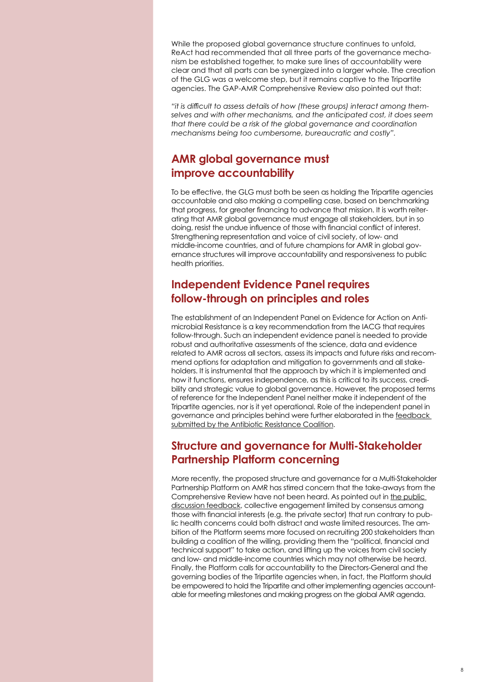While the proposed global governance structure continues to unfold, ReAct had recommended that all three parts of the governance mechanism be established together, to make sure lines of accountability were clear and that all parts can be synergized into a larger whole. The creation of the GLG was a welcome step, but it remains captive to the Tripartite agencies. The GAP-AMR Comprehensive Review also pointed out that:

*"it is difficult to assess details of how (these groups) interact among themselves and with other mechanisms, and the anticipated cost, it does seem that there could be a risk of the global governance and coordination mechanisms being too cumbersome, bureaucratic and costly".*

### **AMR global governance must improve accountability**

To be effective, the GLG must both be seen as holding the Tripartite agencies accountable and also making a compelling case, based on benchmarking that progress, for greater financing to advance that mission. It is worth reiterating that AMR global governance must engage all stakeholders, but in so doing, resist the undue influence of those with financial conflict of interest. Strengthening representation and voice of civil society, of low- and middle-income countries, and of future champions for AMR in global governance structures will improve accountability and responsiveness to public health priorities.

# **Independent Evidence Panel requires follow-through on principles and roles**

The establishment of an Independent Panel on Evidence for Action on Antimicrobial Resistance is a key recommendation from the IACG that requires follow-through. Such an independent evidence panel is needed to provide robust and authoritative assessments of the science, data and evidence related to AMR across all sectors, assess its impacts and future risks and recommend options for adaptation and mitigation to governments and all stakeholders. It is instrumental that the approach by which it is implemented and how it functions, ensures independence, as this is critical to its success, credibility and strategic value to global governance. However, the proposed terms of reference for the Independent Panel neither make it independent of the Tripartite agencies, nor is it yet operational. Role of the independent panel in governance and principles behind were further elaborated in the [feedback](https://static1.squarespace.com/static/5c3784843c3a534eadd60de4/t/5eee46e4c34b01624f1e57b5/1592674021544/ARC+Feedback_ToR+Independent+Panel_14June2020.pdf)  [submitted by the Antibiotic Resistance Coalition.](https://static1.squarespace.com/static/5c3784843c3a534eadd60de4/t/5eee46e4c34b01624f1e57b5/1592674021544/ARC+Feedback_ToR+Independent+Panel_14June2020.pdf)

# **Structure and governance for Multi-Stakeholder Partnership Platform concerning**

More recently, the proposed structure and governance for a Multi-Stakeholder Partnership Platform on AMR has stirred concern that the take-aways from the Comprehensive Review have not been heard. As pointed out in the public [discussion feedback](https://static1.squarespace.com/static/5c3784843c3a534eadd60de4/t/614633aae8a3b539f401868e/1631990699004/Antibiotic+Resistance+Coalition+submission+to+AMRPlatform+Questionnaire_17Sept2021.pdf), collective engagement limited by consensus among those with financial interests (e.g. the private sector) that run contrary to public health concerns could both distract and waste limited resources. The ambition of the Platform seems more focused on recruiting 200 stakeholders than building a coalition of the willing, providing them the "political, financial and technical support" to take action, and lifting up the voices from civil society and low- and middle-income countries which may not otherwise be heard. Finally, the Platform calls for accountability to the Directors-General and the governing bodies of the Tripartite agencies when, in fact, the Platform should be empowered to hold the Tripartite and other implementing agencies accountable for meeting milestones and making progress on the global AMR agenda.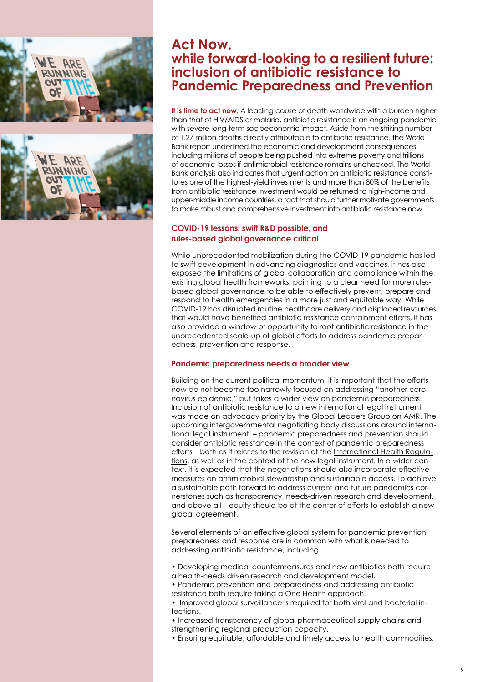

# **Act Now, while forward-looking to a resilient future: inclusion of antibiotic resistance to Pandemic Preparedness and Prevention**

**It is time to act now.** A leading cause of death worldwide with a burden higher than that of HIV/AIDS or malaria, antibiotic resistance is an ongoing pandemic with severe long-term socioeconomic impact. Aside from the striking number of 1.27 million deaths directly attributable to antibiotic resistance, the World [Bank report underlined the economic and development consequences](https://documents.worldbank.org/en/publication/documents-reports/documentdetail/323311493396993758/final-report) including millions of people being pushed into extreme poverty and trillions of economic losses if antimicrobial resistance remains unchecked. The World Bank analysis also indicates that urgent action on antibiotic resistance constitutes one of the highest-yield investments and more than 80% of the benefits from antibiotic resistance investment would be returned to high-income and upper-middle income countries, a fact that should further motivate governments to make robust and comprehensive investment into antibiotic resistance now.

#### **COVID-19 lessons: swift R&D possible, and rules-based global governance critical**

While unprecedented mobilization during the COVID-19 pandemic has led to swift development in advancing diagnostics and vaccines, it has also exposed the limitations of global collaboration and compliance within the existing global health frameworks, pointing to a clear need for more rulesbased global governance to be able to effectively prevent, prepare and respond to health emergencies in a more just and equitable way. While COVID-19 has disrupted routine healthcare delivery and displaced resources that would have benefited antibiotic resistance containment efforts, it has also provided a window of opportunity to root antibiotic resistance in the unprecedented scale-up of global efforts to address pandemic preparedness, prevention and response.

#### **Pandemic preparedness needs a broader view**

Building on the current political momentum, it is important that the efforts now do not become too narrowly focused on addressing "another coronavirus epidemic," but takes a wider view on pandemic preparedness. Inclusion of antibiotic resistance to a new international legal instrument was made an advocacy priority by the Global Leaders Group on AMR. The upcoming intergovernmental negotiating body discussions around international legal instrument – pandemic preparedness and prevention should consider antibiotic resistance in the context of pandemic preparedness efforts – both as it relates to the revision of the [International Health Regula](https://www.who.int/health-topics/international-health-regulations#tab=tab_1)[tions,](https://www.who.int/health-topics/international-health-regulations#tab=tab_1) as well as in the context of the new legal instrument. In a wider context, it is expected that the negotiations should also incorporate effective measures on antimicrobial stewardship and sustainable access. To achieve a sustainable path forward to address current and future pandemics cornerstones such as transparency, needs-driven research and development, and above all – equity should be at the center of efforts to establish a new global agreement.

Several elements of an effective global system for pandemic prevention, preparedness and response are in common with what is needed to addressing antibiotic resistance, including:

- Developing medical countermeasures and new antibiotics both require a health-needs driven research and development model.
- Pandemic prevention and preparedness and addressing antibiotic
- resistance both require taking a One Health approach.
- Improved global surveillance is required for both viral and bacterial infections.
- Increased transparency of global pharmaceutical supply chains and strengthening regional production capacity.
- Ensuring equitable, affordable and timely access to health commodities.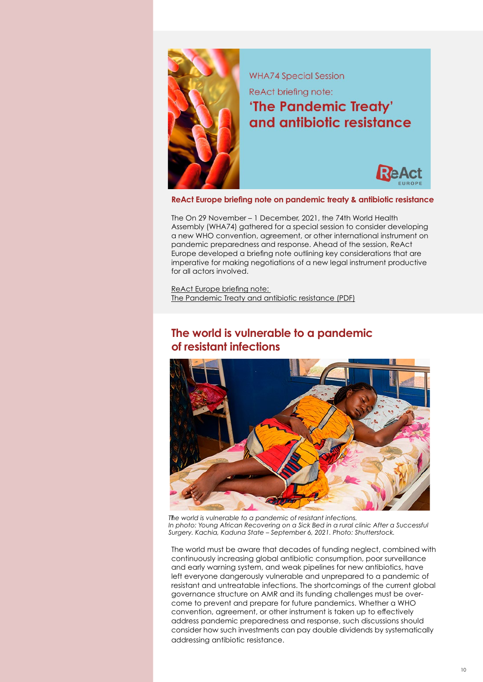

**ReAct Europe briefing note on pandemic treaty & antibiotic resistance**

The On 29 November – 1 December, 2021, the 74th World Health Assembly (WHA74) gathered for a special session to consider developing a new WHO convention, agreement, or other international instrument on pandemic preparedness and response. Ahead of the session, ReAct Europe developed a briefing note outlining key considerations that are imperative for making negotiations of a new legal instrument productive for all actors involved.

[ReAct Europe briefing note:](https://www.reactgroup.org/wp-content/uploads/2021/11/ReAct-Europe-briefing-note-The-Pandemic-Treaty-and-antibiotic-resistance-nov-2021-2.pdf)  [The Pandemic Treaty and antibiotic resistance \(PDF\)](https://www.reactgroup.org/wp-content/uploads/2021/11/ReAct-Europe-briefing-note-The-Pandemic-Treaty-and-antibiotic-resistance-nov-2021-2.pdf)

# **The world is vulnerable to a pandemic of resistant infections**



T *The world is vulnerable to a pandemic of resistant infections. In photo: Young African Recovering on a Sick Bed in a rural clinic After a Successful Surgery. Kachia, Kaduna State – September 6, 2021. Photo: Shutterstock.*

The world must be aware that decades of funding neglect, combined with continuously increasing global antibiotic consumption, poor surveillance and early warning system, and weak pipelines for new antibiotics, have left everyone dangerously vulnerable and unprepared to a pandemic of resistant and untreatable infections. The shortcomings of the current global governance structure on AMR and its funding challenges must be overcome to prevent and prepare for future pandemics. Whether a WHO convention, agreement, or other instrument is taken up to effectively address pandemic preparedness and response, such discussions should consider how such investments can pay double dividends by systematically addressing antibiotic resistance.